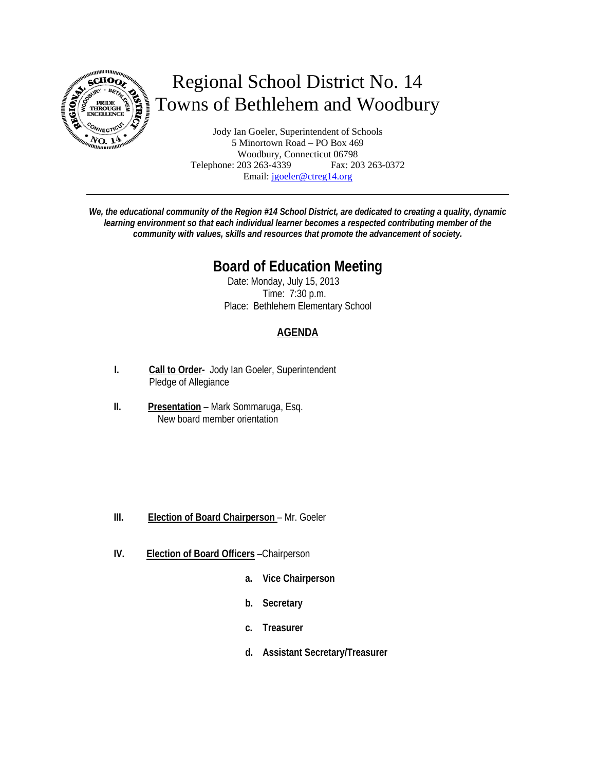

# Regional School District No. 14 Towns of Bethlehem and Woodbury

Jody Ian Goeler, Superintendent of Schools 5 Minortown Road – PO Box 469 Woodbury, Connecticut 06798<br>203 263-4339 Fax: 203 263-0372 Telephone: 203 263-4339 Email: jgoeler@ctreg14.org

*We, the educational community of the Region #14 School District, are dedicated to creating a quality, dynamic learning environment so that each individual learner becomes a respected contributing member of the community with values, skills and resources that promote the advancement of society.* 

## **Board of Education Meeting**

Date: Monday, July 15, 2013 Time: 7:30 p.m. Place: Bethlehem Elementary School

### **AGENDA**

- **I. Call to Order-** Jody Ian Goeler, Superintendent Pledge of Allegiance
- **II. Presentation** Mark Sommaruga, Esq. New board member orientation

- **III.** Election of Board Chairperson Mr. Goeler
- **IV. Election of Board Officers** –Chairperson
	- **a. Vice Chairperson**
	- **b. Secretary**
	- **c. Treasurer**
	- **d. Assistant Secretary/Treasurer**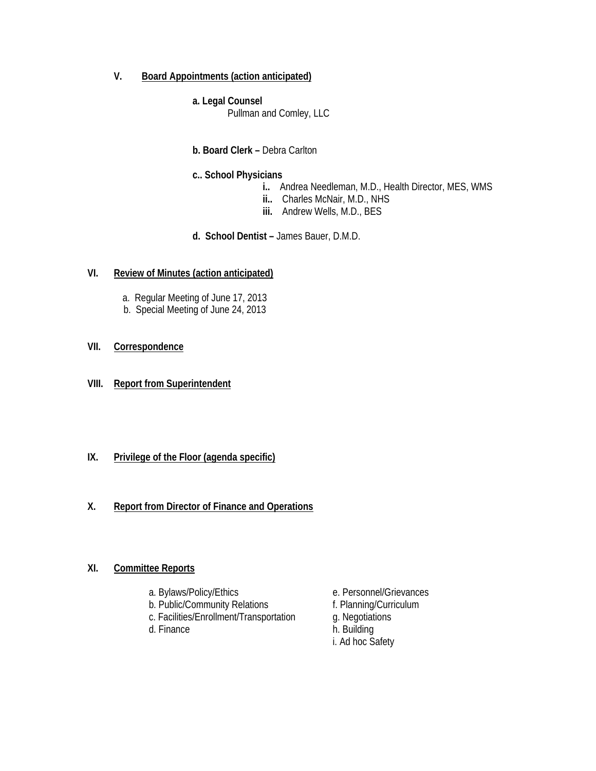#### **V. Board Appointments (action anticipated)**

#### **a. Legal Counsel**

Pullman and Comley, LLC

#### **b. Board Clerk –** Debra Carlton

#### **c.. School Physicians**

- **i..** Andrea Needleman, M.D., Health Director, MES, WMS
- **ii..** Charles McNair, M.D., NHS
- **iii.** Andrew Wells, M.D., BES
- **d. School Dentist** James Bauer, D.M.D.

#### **VI. Review of Minutes (action anticipated)**

- a. Regular Meeting of June 17, 2013
- b. Special Meeting of June 24, 2013

#### **VII. Correspondence**

**VIII. Report from Superintendent** 

#### **IX. Privilege of the Floor (agenda specific)**

#### **X. Report from Director of Finance and Operations**

#### **XI. Committee Reports**

- 
- 
- b. Public/Community Relations f. Planning/Curriculum c. Facilities/Enrollment/Transportation g. Negotiations c. Facilities/Enrollment/Transportation
- d. Finance h. Building
- a. Bylaws/Policy/Ethics e. Personnel/Grievances
	-
	-
	-
	- i. Ad hoc Safety